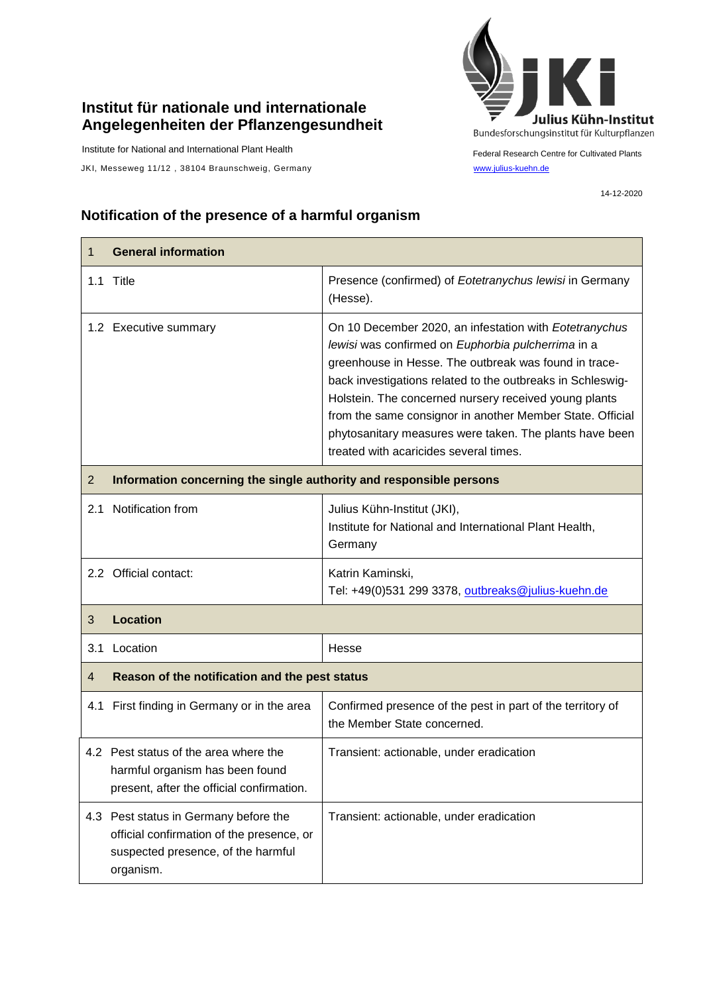## **Institut für nationale und internationale Angelegenheiten der Pflanzengesundheit**

Institute for National and International Plant Health

 $\mathsf{r}$ 

JKI, Messeweg 11/12, 38104 Braunschweig, Germany [www.julius-kuehn.de](http://www.julius-kuehn.de/)



Federal Research Centre for Cultivated Plants

14-12-2020

## **Notification of the presence of a harmful organism**

| $\mathbf 1$    | <b>General information</b>                                                                                                            |                                                                                                                                                                                                                                                                                                                                                                                                                                                                |  |
|----------------|---------------------------------------------------------------------------------------------------------------------------------------|----------------------------------------------------------------------------------------------------------------------------------------------------------------------------------------------------------------------------------------------------------------------------------------------------------------------------------------------------------------------------------------------------------------------------------------------------------------|--|
|                | 1.1 Title                                                                                                                             | Presence (confirmed) of Eotetranychus lewisi in Germany<br>(Hesse).                                                                                                                                                                                                                                                                                                                                                                                            |  |
|                | 1.2 Executive summary                                                                                                                 | On 10 December 2020, an infestation with Eotetranychus<br>lewisi was confirmed on Euphorbia pulcherrima in a<br>greenhouse in Hesse. The outbreak was found in trace-<br>back investigations related to the outbreaks in Schleswig-<br>Holstein. The concerned nursery received young plants<br>from the same consignor in another Member State. Official<br>phytosanitary measures were taken. The plants have been<br>treated with acaricides several times. |  |
| $\overline{2}$ | Information concerning the single authority and responsible persons                                                                   |                                                                                                                                                                                                                                                                                                                                                                                                                                                                |  |
| 2.1            | Notification from                                                                                                                     | Julius Kühn-Institut (JKI),<br>Institute for National and International Plant Health,<br>Germany                                                                                                                                                                                                                                                                                                                                                               |  |
|                | 2.2 Official contact:                                                                                                                 | Katrin Kaminski,<br>Tel: +49(0)531 299 3378, outbreaks@julius-kuehn.de                                                                                                                                                                                                                                                                                                                                                                                         |  |
| 3              | <b>Location</b>                                                                                                                       |                                                                                                                                                                                                                                                                                                                                                                                                                                                                |  |
| 3.1            | Location                                                                                                                              | Hesse                                                                                                                                                                                                                                                                                                                                                                                                                                                          |  |
| 4              | Reason of the notification and the pest status                                                                                        |                                                                                                                                                                                                                                                                                                                                                                                                                                                                |  |
|                | 4.1 First finding in Germany or in the area                                                                                           | Confirmed presence of the pest in part of the territory of<br>the Member State concerned.                                                                                                                                                                                                                                                                                                                                                                      |  |
|                | 4.2 Pest status of the area where the<br>harmful organism has been found<br>present, after the official confirmation.                 | Transient: actionable, under eradication                                                                                                                                                                                                                                                                                                                                                                                                                       |  |
|                | 4.3 Pest status in Germany before the<br>official confirmation of the presence, or<br>suspected presence, of the harmful<br>organism. | Transient: actionable, under eradication                                                                                                                                                                                                                                                                                                                                                                                                                       |  |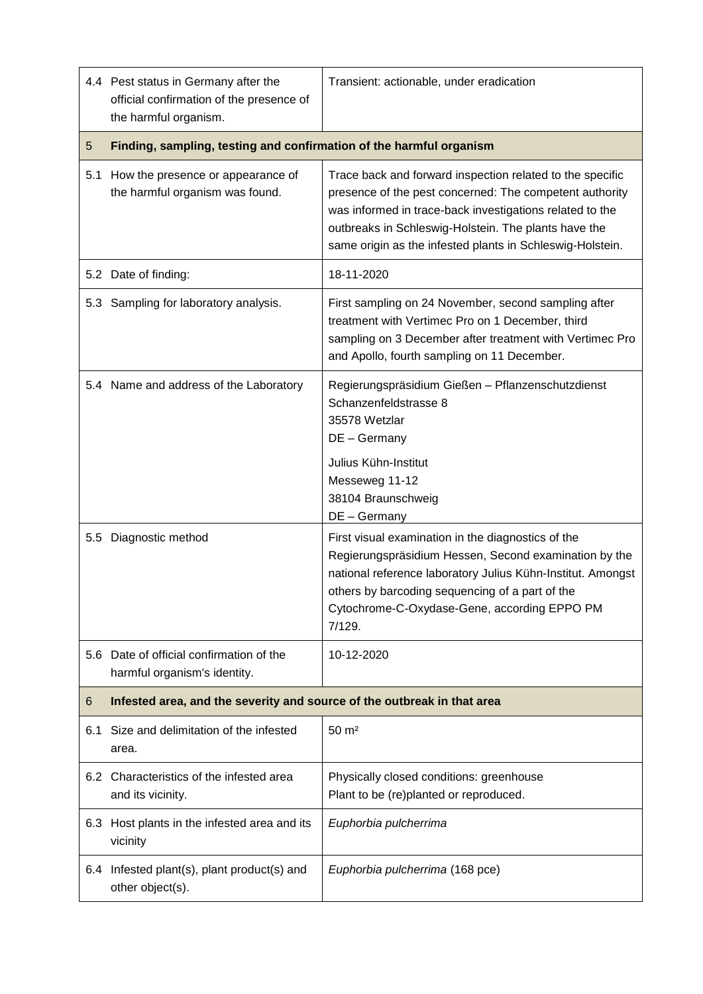|               | 4.4 Pest status in Germany after the<br>official confirmation of the presence of<br>the harmful organism. | Transient: actionable, under eradication                                                                                                                                                                                                                                                              |  |
|---------------|-----------------------------------------------------------------------------------------------------------|-------------------------------------------------------------------------------------------------------------------------------------------------------------------------------------------------------------------------------------------------------------------------------------------------------|--|
| 5             | Finding, sampling, testing and confirmation of the harmful organism                                       |                                                                                                                                                                                                                                                                                                       |  |
| 5.1           | How the presence or appearance of<br>the harmful organism was found.                                      | Trace back and forward inspection related to the specific<br>presence of the pest concerned: The competent authority<br>was informed in trace-back investigations related to the<br>outbreaks in Schleswig-Holstein. The plants have the<br>same origin as the infested plants in Schleswig-Holstein. |  |
|               | 5.2 Date of finding:                                                                                      | 18-11-2020                                                                                                                                                                                                                                                                                            |  |
|               | 5.3 Sampling for laboratory analysis.                                                                     | First sampling on 24 November, second sampling after<br>treatment with Vertimec Pro on 1 December, third<br>sampling on 3 December after treatment with Vertimec Pro<br>and Apollo, fourth sampling on 11 December.                                                                                   |  |
|               | 5.4 Name and address of the Laboratory                                                                    | Regierungspräsidium Gießen - Pflanzenschutzdienst<br>Schanzenfeldstrasse 8<br>35578 Wetzlar<br>DE - Germany<br>Julius Kühn-Institut<br>Messeweg 11-12                                                                                                                                                 |  |
|               |                                                                                                           | 38104 Braunschweig<br>DE - Germany                                                                                                                                                                                                                                                                    |  |
| $5.5^{\circ}$ | Diagnostic method                                                                                         | First visual examination in the diagnostics of the<br>Regierungspräsidium Hessen, Second examination by the<br>national reference laboratory Julius Kühn-Institut. Amongst<br>others by barcoding sequencing of a part of the<br>Cytochrome-C-Oxydase-Gene, according EPPO PM<br>7/129.               |  |
|               | 5.6 Date of official confirmation of the<br>harmful organism's identity.                                  | 10-12-2020                                                                                                                                                                                                                                                                                            |  |
| 6             | Infested area, and the severity and source of the outbreak in that area                                   |                                                                                                                                                                                                                                                                                                       |  |
| 6.1           | Size and delimitation of the infested<br>area.                                                            | $50 \text{ m}^2$                                                                                                                                                                                                                                                                                      |  |
|               | 6.2 Characteristics of the infested area<br>and its vicinity.                                             | Physically closed conditions: greenhouse<br>Plant to be (re)planted or reproduced.                                                                                                                                                                                                                    |  |
| 6.3           | Host plants in the infested area and its<br>vicinity                                                      | Euphorbia pulcherrima                                                                                                                                                                                                                                                                                 |  |
|               | 6.4 Infested plant(s), plant product(s) and<br>other object(s).                                           | Euphorbia pulcherrima (168 pce)                                                                                                                                                                                                                                                                       |  |